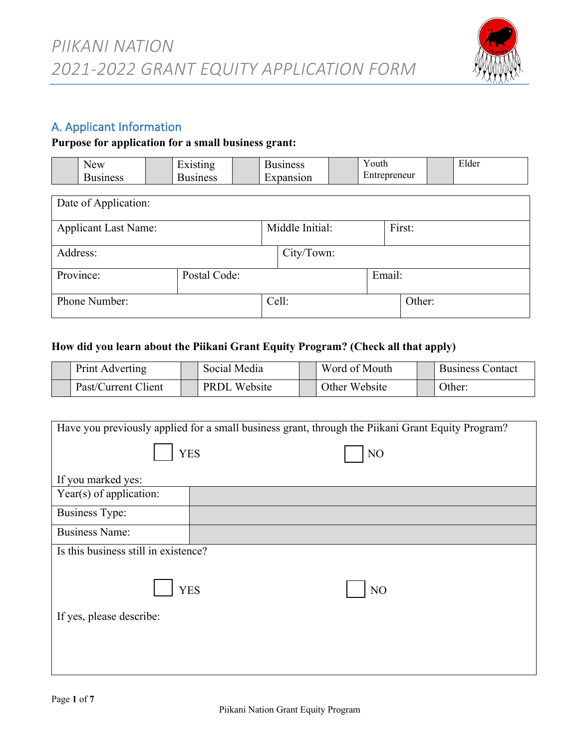

## A. Applicant Information

#### **Purpose for application for a small business grant:**

| ew | $H$ vietin $\alpha$<br>. . | siness | - -<br>⊻outh | T1<br>Elder |
|----|----------------------------|--------|--------------|-------------|
|    | iness                      | :S1On  | reneur       |             |

| Date of Application:        |              |  |                 |        |        |  |  |  |
|-----------------------------|--------------|--|-----------------|--------|--------|--|--|--|
| <b>Applicant Last Name:</b> |              |  | Middle Initial: |        | First: |  |  |  |
| Address:                    |              |  | City/Town:      |        |        |  |  |  |
| Province:                   | Postal Code: |  |                 | Email: |        |  |  |  |
| Phone Number:               |              |  | Cell:           |        | Other: |  |  |  |

#### **How did you learn about the Piikani Grant Equity Program? (Check all that apply)**

| Print Adverting     | Social Media        | Word of Mouth | <b>Business Contact</b> |
|---------------------|---------------------|---------------|-------------------------|
| Past/Current Client | <b>PRDL</b> Website | Other Website | Other:                  |

| Have you previously applied for a small business grant, through the Piikani Grant Equity Program? |            |    |  |  |  |  |  |  |
|---------------------------------------------------------------------------------------------------|------------|----|--|--|--|--|--|--|
|                                                                                                   | <b>YES</b> | NO |  |  |  |  |  |  |
| If you marked yes:                                                                                |            |    |  |  |  |  |  |  |
| Year(s) of application:                                                                           |            |    |  |  |  |  |  |  |
| <b>Business Type:</b>                                                                             |            |    |  |  |  |  |  |  |
| <b>Business Name:</b>                                                                             |            |    |  |  |  |  |  |  |
| Is this business still in existence?                                                              |            |    |  |  |  |  |  |  |
| <b>YES</b><br>NO                                                                                  |            |    |  |  |  |  |  |  |
| If yes, please describe:                                                                          |            |    |  |  |  |  |  |  |
|                                                                                                   |            |    |  |  |  |  |  |  |
|                                                                                                   |            |    |  |  |  |  |  |  |
|                                                                                                   |            |    |  |  |  |  |  |  |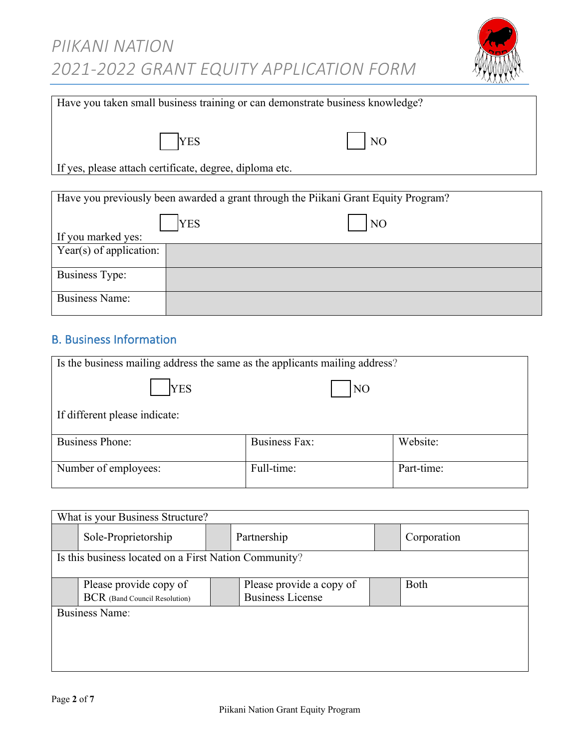

| Have you taken small business training or can demonstrate business knowledge?      |                |  |  |  |  |  |  |
|------------------------------------------------------------------------------------|----------------|--|--|--|--|--|--|
| <b>YES</b>                                                                         | NO             |  |  |  |  |  |  |
| If yes, please attach certificate, degree, diploma etc.                            |                |  |  |  |  |  |  |
| Have you previously been awarded a grant through the Piikani Grant Equity Program? |                |  |  |  |  |  |  |
| <b>YES</b><br>If you marked yes:                                                   | N <sub>O</sub> |  |  |  |  |  |  |

| II you marked yes.      |  |
|-------------------------|--|
| Year(s) of application: |  |
|                         |  |
| <b>Business Type:</b>   |  |
| <b>Business Name:</b>   |  |

# B. Business Information

| Is the business mailing address the same as the applicants mailing address? |  |  |  |  |  |  |  |  |
|-----------------------------------------------------------------------------|--|--|--|--|--|--|--|--|
| <b>YES</b><br>N <sub>O</sub>                                                |  |  |  |  |  |  |  |  |
| If different please indicate:                                               |  |  |  |  |  |  |  |  |
| Website:<br><b>Business Fax:</b><br><b>Business Phone:</b>                  |  |  |  |  |  |  |  |  |
| Full-time:<br>Part-time:<br>Number of employees:                            |  |  |  |  |  |  |  |  |

| What is your Business Structure?                      |                               |  |                          |  |             |  |  |  |
|-------------------------------------------------------|-------------------------------|--|--------------------------|--|-------------|--|--|--|
|                                                       | Sole-Proprietorship           |  | Partnership              |  | Corporation |  |  |  |
| Is this business located on a First Nation Community? |                               |  |                          |  |             |  |  |  |
|                                                       |                               |  |                          |  |             |  |  |  |
|                                                       | Please provide copy of        |  | Please provide a copy of |  | <b>Both</b> |  |  |  |
|                                                       | BCR (Band Council Resolution) |  | <b>Business License</b>  |  |             |  |  |  |
|                                                       | <b>Business Name:</b>         |  |                          |  |             |  |  |  |
|                                                       |                               |  |                          |  |             |  |  |  |
|                                                       |                               |  |                          |  |             |  |  |  |
|                                                       |                               |  |                          |  |             |  |  |  |
|                                                       |                               |  |                          |  |             |  |  |  |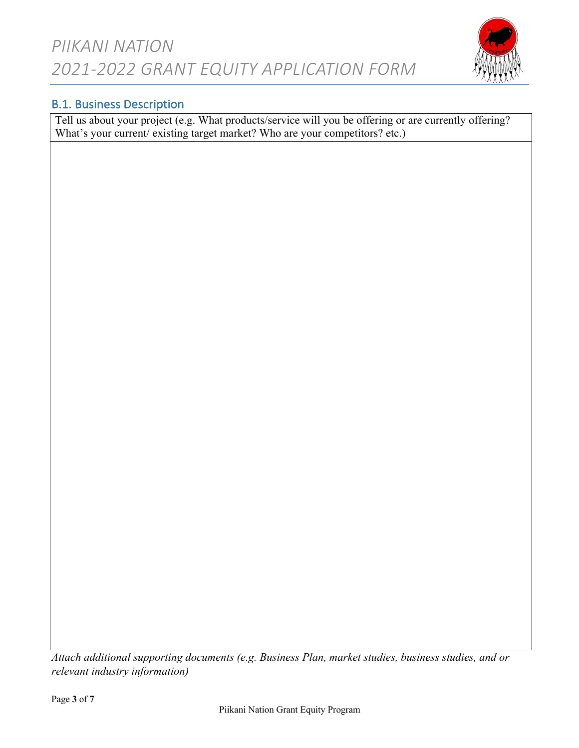

## B.1. Business Description

Tell us about your project (e.g. What products/service will you be offering or are currently offering? What's your current/ existing target market? Who are your competitors? etc.)

*Attach additional supporting documents (e.g. Business Plan, market studies, business studies, and or relevant industry information)*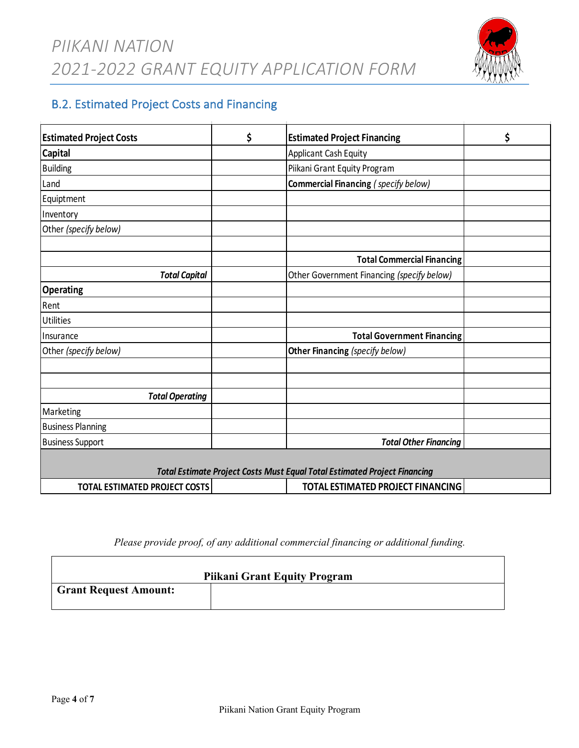Itemize major projected expenditures and set out the proposed financing package. These are estimates only and are intended to provide Piikani Nation with information on the expected size and scope of your project.

*PIIKANI NATION* 2021-2022 GRANT EQUITY APPLICATION FORM



# **B.2. Estimated Project Costs and Financing**

| <b>Estimated Project Costs</b>       | \$<br><b>Estimated Project Financing</b>                                         | \$ |
|--------------------------------------|----------------------------------------------------------------------------------|----|
| <b>Capital</b>                       | Applicant Cash Equity                                                            |    |
| <b>Building</b>                      | Piikani Grant Equity Program                                                     |    |
| Land                                 | Commercial Financing (specify below)                                             |    |
| Equiptment                           |                                                                                  |    |
| Inventory                            |                                                                                  |    |
| Other (specify below)                |                                                                                  |    |
|                                      | <b>Total Commercial Financing</b>                                                |    |
| <b>Total Capital</b>                 | Other Government Financing (specify below)                                       |    |
| <b>Operating</b>                     |                                                                                  |    |
| Rent                                 |                                                                                  |    |
| <b>Utilities</b>                     |                                                                                  |    |
| Insurance                            | <b>Total Government Financing</b>                                                |    |
| Other (specify below)                | Other Financing (specify below)                                                  |    |
|                                      |                                                                                  |    |
| <b>Total Operating</b>               |                                                                                  |    |
| Marketing                            |                                                                                  |    |
| <b>Business Planning</b>             |                                                                                  |    |
| <b>Business Support</b>              | <b>Total Other Financing</b>                                                     |    |
|                                      | <b>Total Estimate Project Costs Must Equal Total Estimated Project Financing</b> |    |
| <b>TOTAL ESTIMATED PROJECT COSTS</b> | TOTAL ESTIMATED PROJECT FINANCING                                                |    |

*Please provide proof, of any additional commercial financing or additional funding.*

|                              | <b>Piikani Grant Equity Program</b> |
|------------------------------|-------------------------------------|
| <b>Grant Request Amount:</b> |                                     |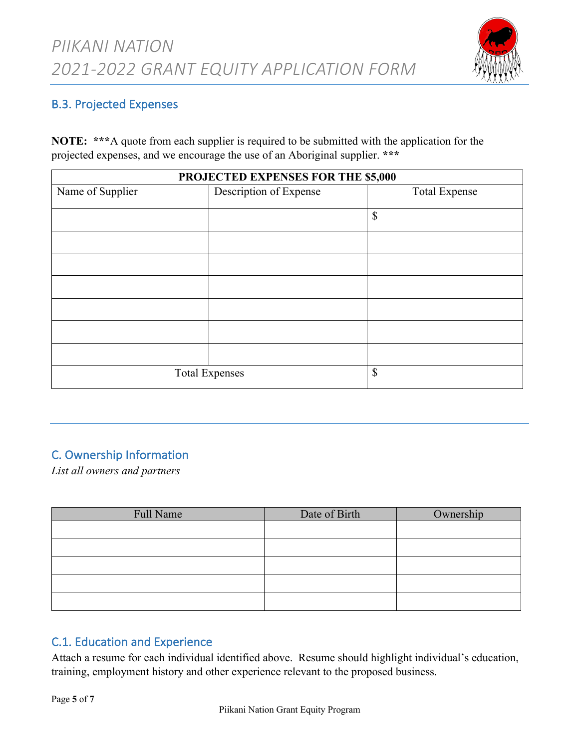

### B.3. Projected Expenses

**NOTE: \*\*\***A quote from each supplier is required to be submitted with the application for the projected expenses, and we encourage the use of an Aboriginal supplier. **\*\*\***

| PROJECTED EXPENSES FOR THE \$5,000 |                        |                      |  |  |  |  |  |
|------------------------------------|------------------------|----------------------|--|--|--|--|--|
| Name of Supplier                   | Description of Expense | <b>Total Expense</b> |  |  |  |  |  |
|                                    |                        | \$                   |  |  |  |  |  |
|                                    |                        |                      |  |  |  |  |  |
|                                    |                        |                      |  |  |  |  |  |
|                                    |                        |                      |  |  |  |  |  |
|                                    |                        |                      |  |  |  |  |  |
|                                    |                        |                      |  |  |  |  |  |
|                                    |                        |                      |  |  |  |  |  |
|                                    |                        |                      |  |  |  |  |  |
| <b>Total Expenses</b>              | \$                     |                      |  |  |  |  |  |

# C. Ownership Information

*List all owners and partners*

| Full Name | Date of Birth | Ownership |
|-----------|---------------|-----------|
|           |               |           |
|           |               |           |
|           |               |           |
|           |               |           |
|           |               |           |

## C.1. Education and Experience

Attach a resume for each individual identified above. Resume should highlight individual's education, training, employment history and other experience relevant to the proposed business.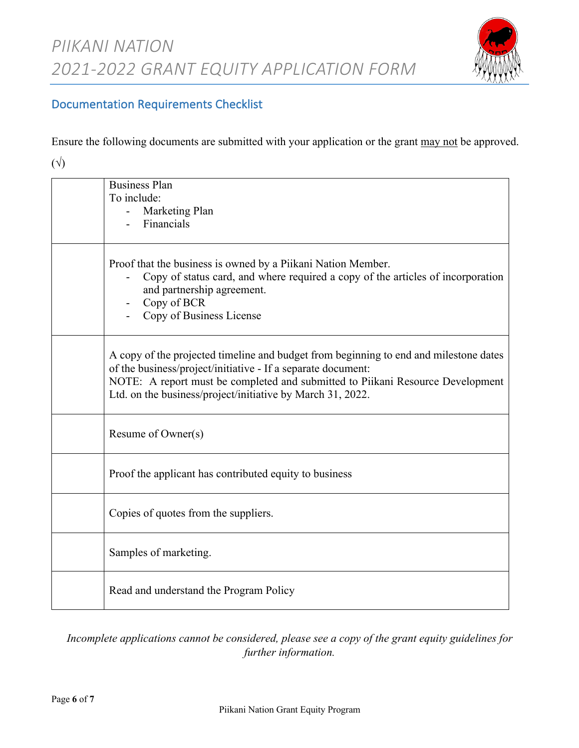

# Documentation Requirements Checklist

Ensure the following documents are submitted with your application or the grant may not be approved.

 $(\forall)$ 

| <b>Business Plan</b><br>To include:<br>Marketing Plan<br>Financials                                                                                                                                                                                                                                   |
|-------------------------------------------------------------------------------------------------------------------------------------------------------------------------------------------------------------------------------------------------------------------------------------------------------|
| Proof that the business is owned by a Piikani Nation Member.<br>Copy of status card, and where required a copy of the articles of incorporation<br>and partnership agreement.<br>Copy of BCR<br>Copy of Business License                                                                              |
| A copy of the projected timeline and budget from beginning to end and milestone dates<br>of the business/project/initiative - If a separate document:<br>NOTE: A report must be completed and submitted to Piikani Resource Development<br>Ltd. on the business/project/initiative by March 31, 2022. |
| Resume of Owner(s)                                                                                                                                                                                                                                                                                    |
| Proof the applicant has contributed equity to business                                                                                                                                                                                                                                                |
| Copies of quotes from the suppliers.                                                                                                                                                                                                                                                                  |
| Samples of marketing.                                                                                                                                                                                                                                                                                 |
| Read and understand the Program Policy                                                                                                                                                                                                                                                                |

*Incomplete applications cannot be considered, please see a copy of the grant equity guidelines for further information.*